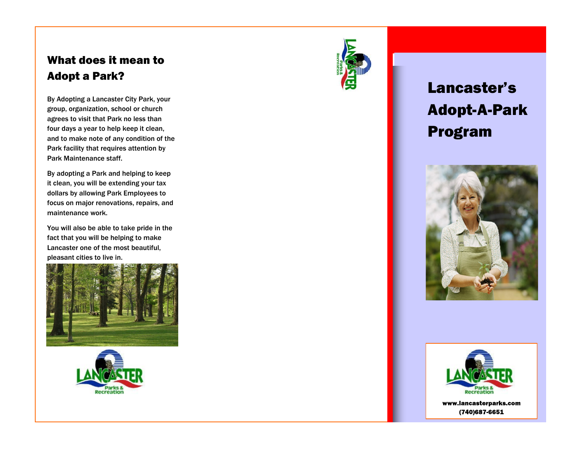## What does it mean to Adopt a Park?

By Adopting a Lancaster City Park, your group, organization, school or church agrees to visit that Park no less than four days a year to help keep it clean, and to make note of any condition of the Park facility that requires attention by Park Maintenance staff.

By adopting a Park and helping to keep it clean, you will be extending your tax dollars by allowing Park Employees to focus on major renovations, repairs, and maintenance work.

You will also be able to take pride in the fact that you will be helping to make Lancaster one of the most beautiful, pleasant cities to live in.







# Lancaster's Adopt-A-Park Program





www.lancasterparks.com (740)687-6651